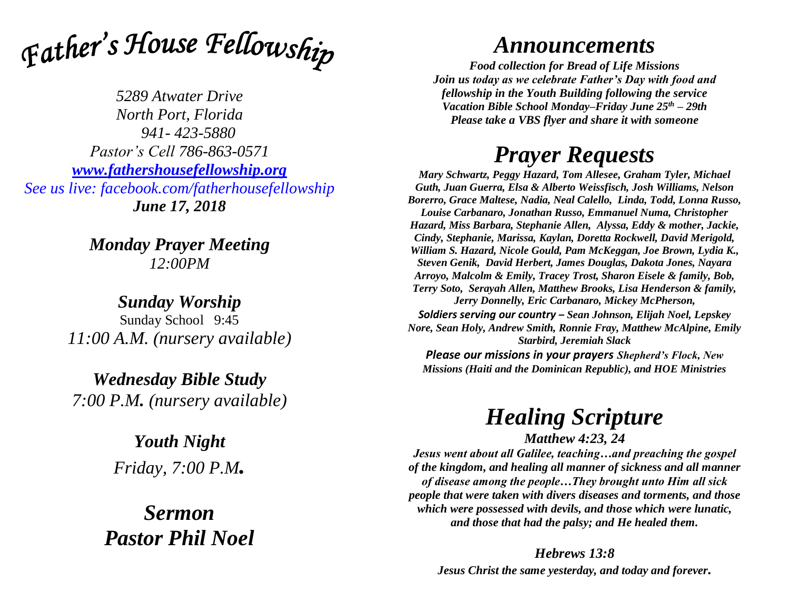

*5289 Atwater Drive North Port, Florida 941- 423-5880 Pastor's Cell 786-863-0571 [www.fathershousefellowship.org](http://www.fathershousefellowship.org/) See us live: facebook.com/fatherhousefellowship June 17, 2018*

> *Monday Prayer Meeting 12:00PM*

*Sunday Worship* Sunday School 9:45 *11:00 A.M. (nursery available)*

*Wednesday Bible Study 7:00 P.M. (nursery available)*

> *Youth Night Friday, 7:00 P.M.*

*Sermon Pastor Phil Noel*

## *Announcements*

*Food collection for Bread of Life Missions Join us today as we celebrate Father's Day with food and fellowship in the Youth Building following the service Vacation Bible School Monday–Friday June 25th – 29th Please take a VBS flyer and share it with someone*

## *Prayer Requests*

*Mary Schwartz, Peggy Hazard, Tom Allesee, Graham Tyler, Michael Guth, Juan Guerra, Elsa & Alberto Weissfisch, Josh Williams, Nelson Borerro, Grace Maltese, Nadia, Neal Calello, Linda, Todd, Lonna Russo, Louise Carbanaro, Jonathan Russo, Emmanuel Numa, Christopher Hazard, Miss Barbara, Stephanie Allen, Alyssa, Eddy & mother, Jackie, Cindy, Stephanie, Marissa, Kaylan, Doretta Rockwell, David Merigold, William S. Hazard, Nicole Gould, Pam McKeggan, Joe Brown, Lydia K., Steven Genik, David Herbert, James Douglas, Dakota Jones, Nayara Arroyo, Malcolm & Emily, Tracey Trost, Sharon Eisele & family, Bob, Terry Soto, Serayah Allen, Matthew Brooks, Lisa Henderson & family, Jerry Donnelly, Eric Carbanaro, Mickey McPherson, Soldiers serving our country – Sean Johnson, Elijah Noel, Lepskey Nore, Sean Holy, Andrew Smith, Ronnie Fray, Matthew McAlpine, Emily Starbird, Jeremiah Slack*

*Please our missions in your prayers Shepherd's Flock, New Missions (Haiti and the Dominican Republic), and HOE Ministries*

## *Healing Scripture*

*Matthew 4:23, 24*

*Jesus went about all Galilee, teaching…and preaching the gospel of the kingdom, and healing all manner of sickness and all manner of disease among the people…They brought unto Him all sick people that were taken with divers diseases and torments, and those which were possessed with devils, and those which were lunatic, and those that had the palsy; and He healed them.* 

*Hebrews 13:8 Jesus Christ the same yesterday, and today and forever.*